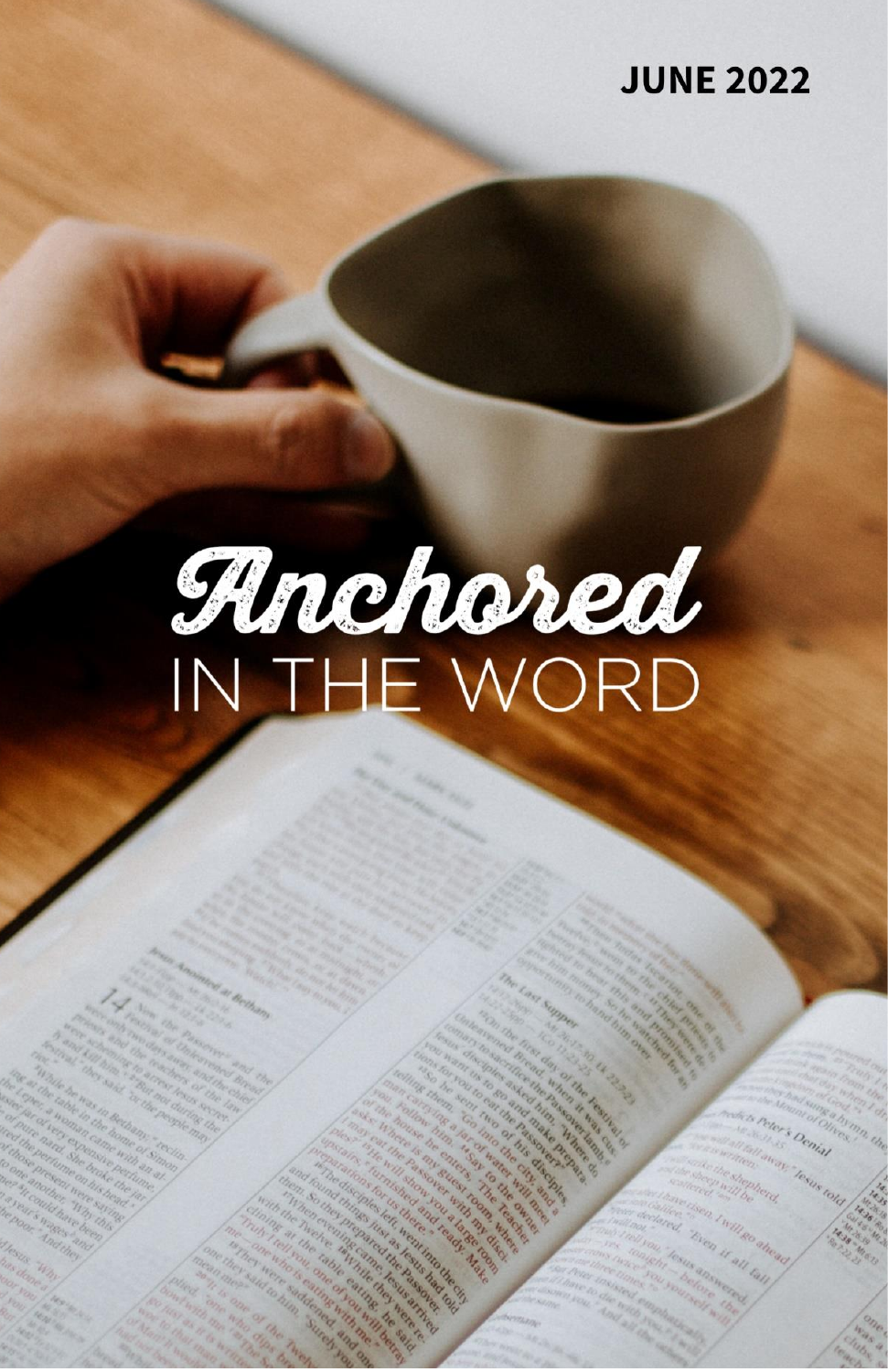## **JUNE 2022**

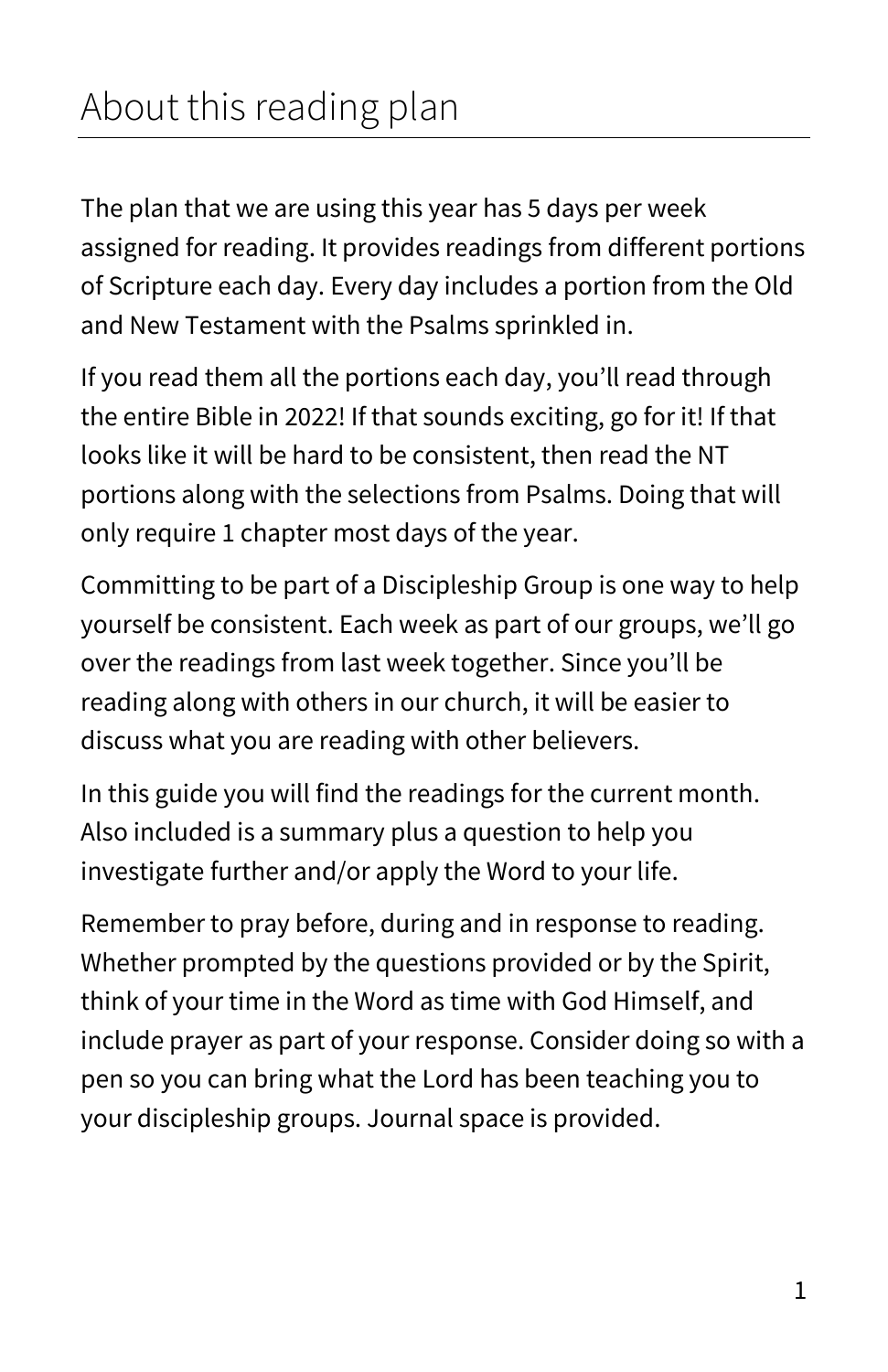# About this reading plan

The plan that we are using this year has 5 days per week assigned for reading. It provides readings from different portions of Scripture each day. Every day includes a portion from the Old and New Testament with the Psalms sprinkled in.

If you read them all the portions each day, you'll read through the entire Bible in 2022! If that sounds exciting, go for it! If that looks like it will be hard to be consistent, then read the NT portions along with the selections from Psalms. Doing that will only require 1 chapter most days of the year.

Committing to be part of a Discipleship Group is one way to help yourself be consistent. Each week as part of our groups, we'll go over the readings from last week together. Since you'll be reading along with others in our church, it will be easier to discuss what you are reading with other believers.

In this guide you will find the readings for the current month. Also included is a summary plus a question to help you investigate further and/or apply the Word to your life.

Remember to pray before, during and in response to reading. Whether prompted by the questions provided or by the Spirit, think of your time in the Word as time with God Himself, and include prayer as part of your response. Consider doing so with a pen so you can bring what the Lord has been teaching you to your discipleship groups. Journal space is provided.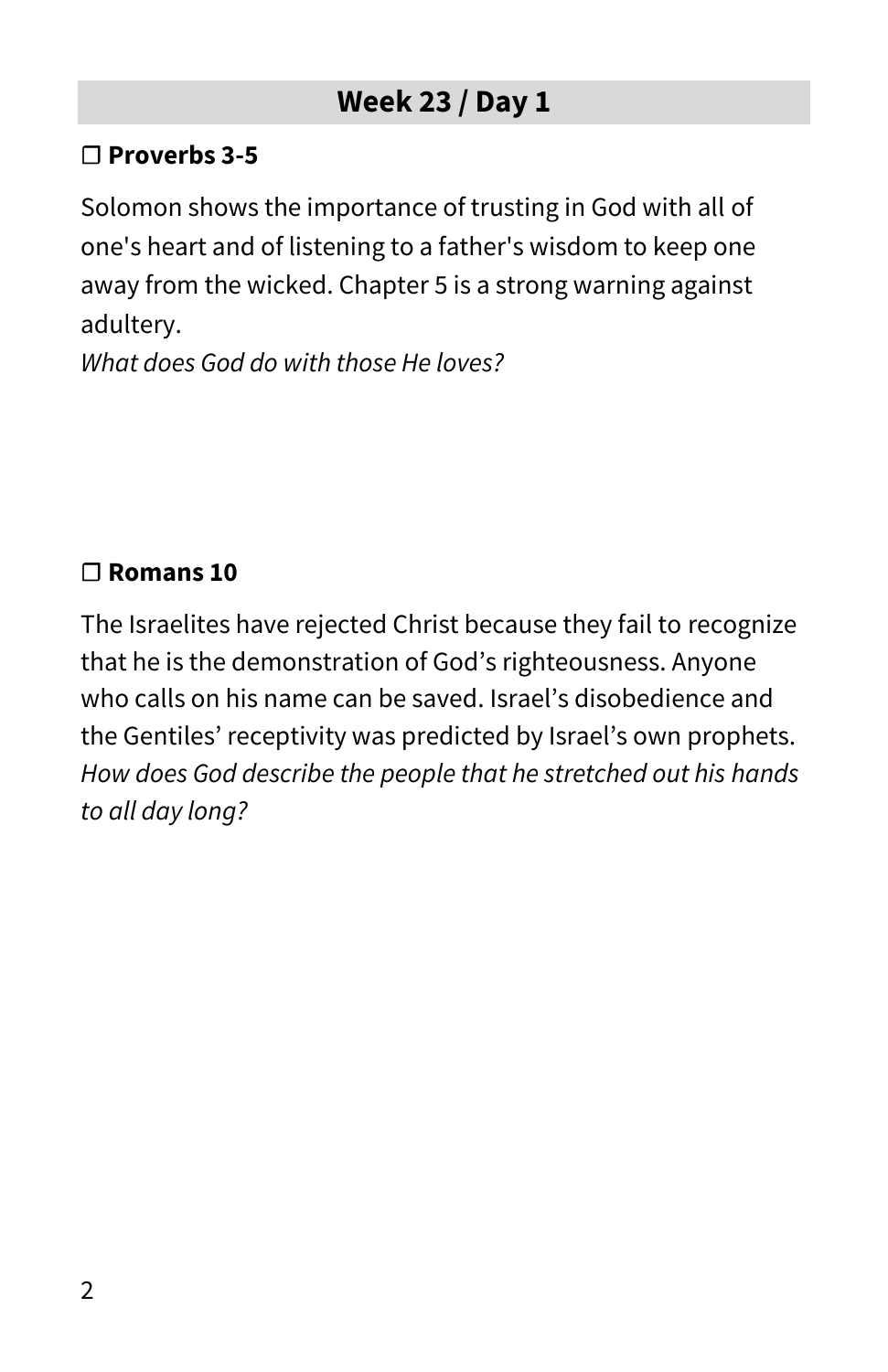#### **☐ Proverbs 3-5**

Solomon shows the importance of trusting in God with all of one's heart and of listening to a father's wisdom to keep one away from the wicked. Chapter 5 is a strong warning against adultery.

*What does God do with those He loves?*

## **☐ Romans 10**

The Israelites have rejected Christ because they fail to recognize that he is the demonstration of God's righteousness. Anyone who calls on his name can be saved. Israel's disobedience and the Gentiles' receptivity was predicted by Israel's own prophets. *How does God describe the people that he stretched out his hands to all day long?*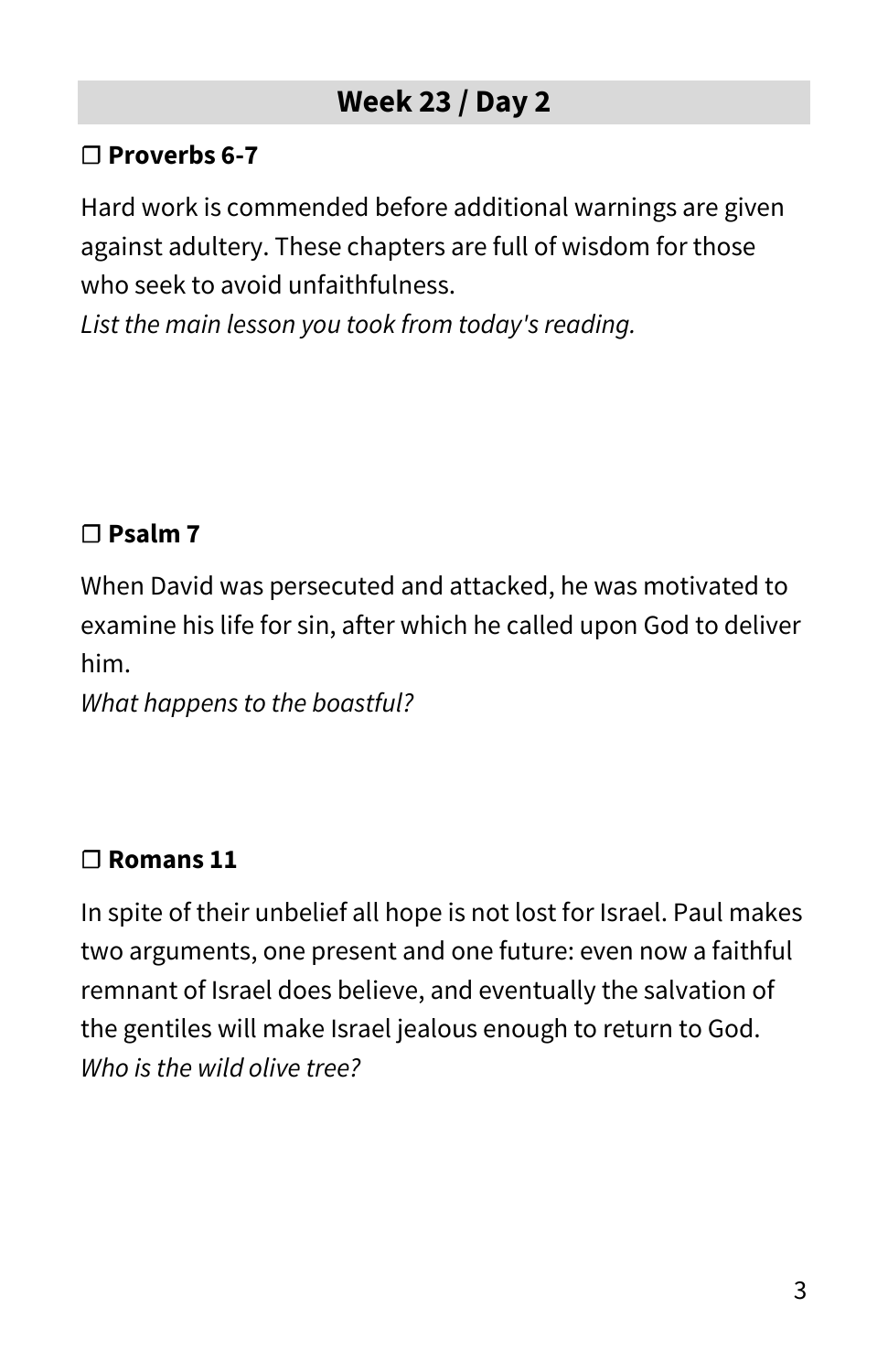#### **☐ Proverbs 6-7**

Hard work is commended before additional warnings are given against adultery. These chapters are full of wisdom for those who seek to avoid unfaithfulness.

*List the main lesson you took from today's reading.*

#### **☐ Psalm 7**

When David was persecuted and attacked, he was motivated to examine his life for sin, after which he called upon God to deliver him.

*What happens to the boastful?*

#### **☐ Romans 11**

In spite of their unbelief all hope is not lost for Israel. Paul makes two arguments, one present and one future: even now a faithful remnant of Israel does believe, and eventually the salvation of the gentiles will make Israel jealous enough to return to God. *Who is the wild olive tree?*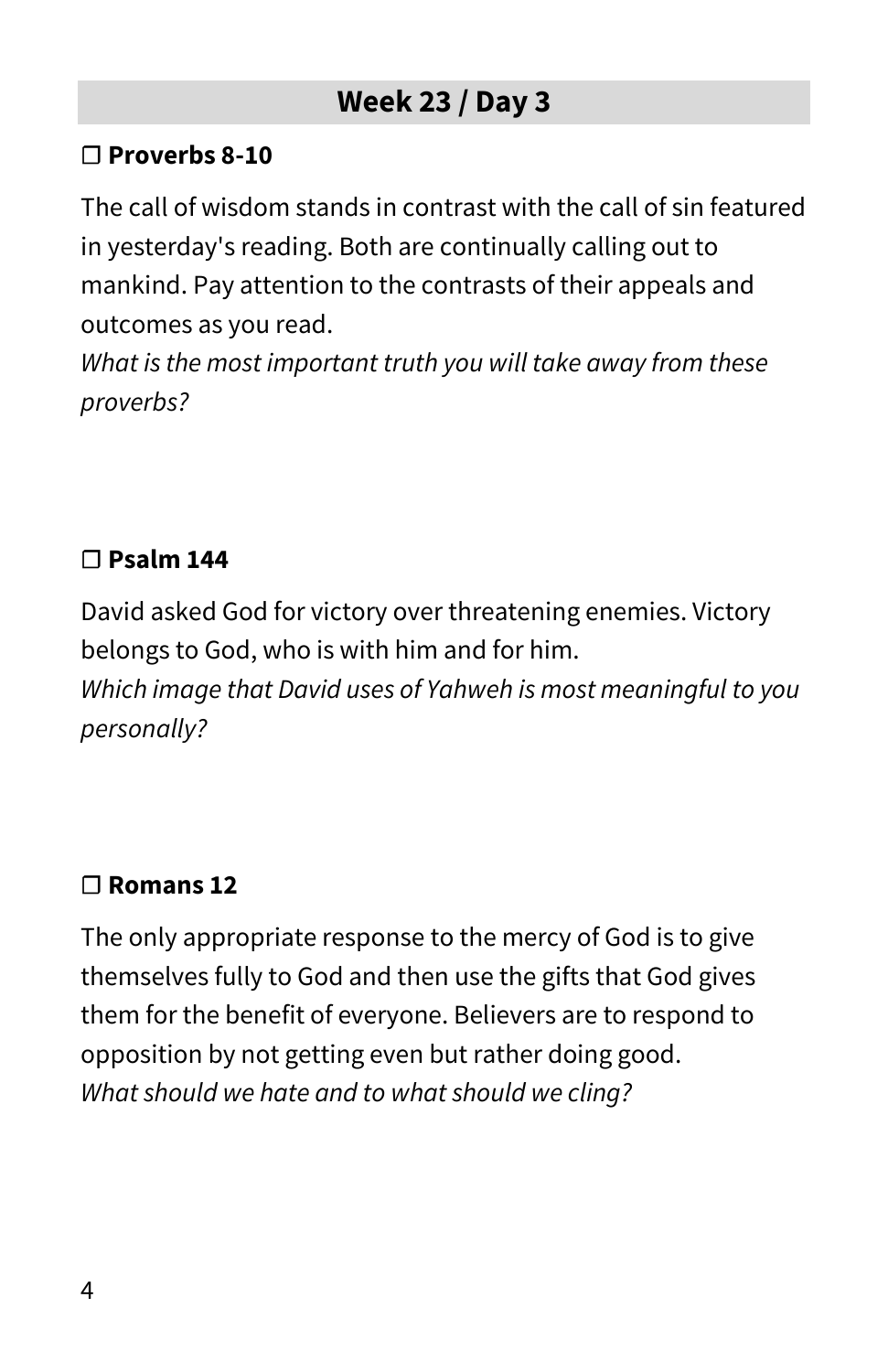#### **☐ Proverbs 8-10**

The call of wisdom stands in contrast with the call of sin featured in yesterday's reading. Both are continually calling out to mankind. Pay attention to the contrasts of their appeals and outcomes as you read.

*What is the most important truth you will take away from these proverbs?*

#### **☐ Psalm 144**

David asked God for victory over threatening enemies. Victory belongs to God, who is with him and for him.

*Which image that David uses of Yahweh is most meaningful to you personally?*

#### **☐ Romans 12**

The only appropriate response to the mercy of God is to give themselves fully to God and then use the gifts that God gives them for the benefit of everyone. Believers are to respond to opposition by not getting even but rather doing good. *What should we hate and to what should we cling?*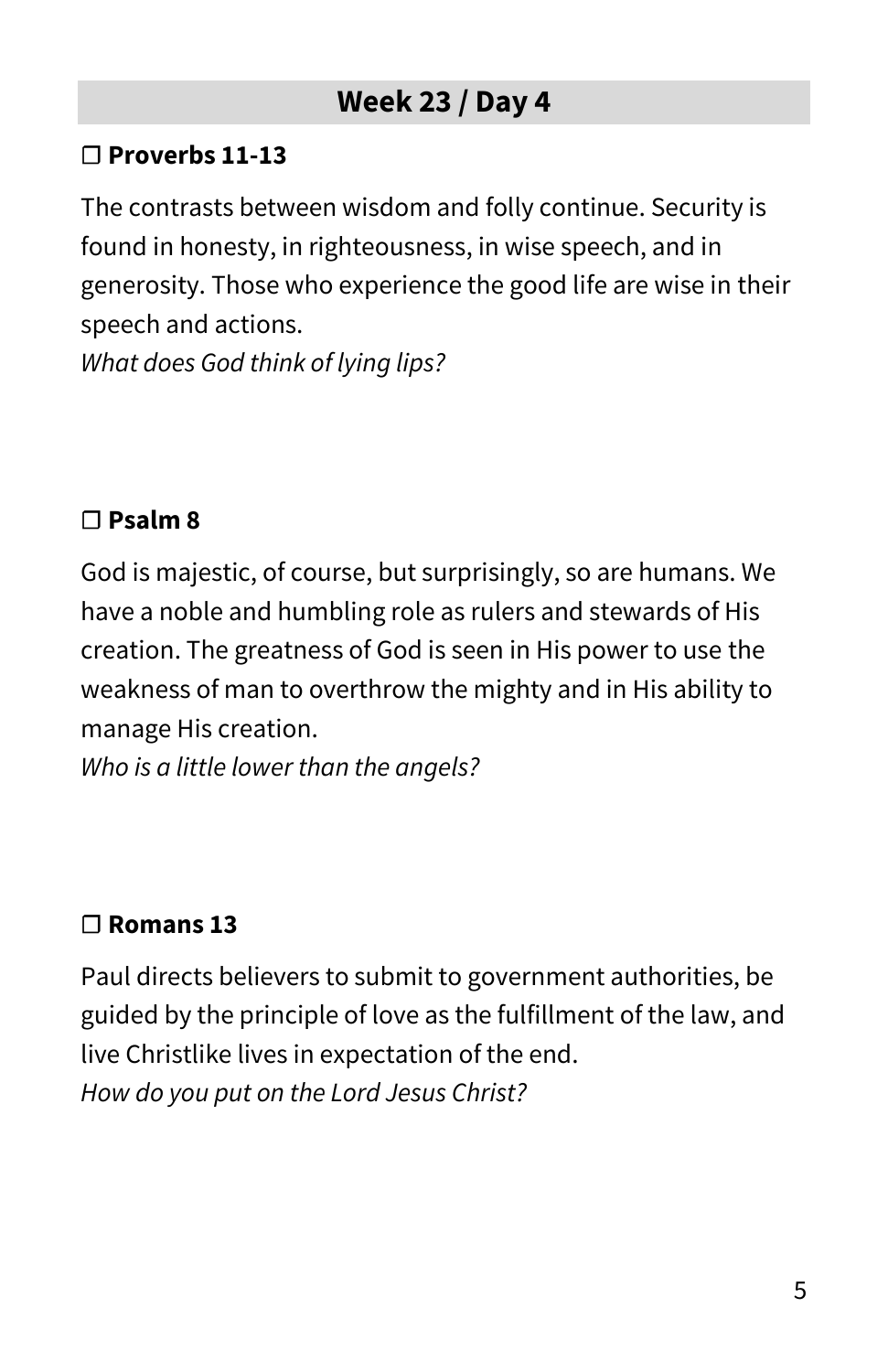#### **☐ Proverbs 11-13**

The contrasts between wisdom and folly continue. Security is found in honesty, in righteousness, in wise speech, and in generosity. Those who experience the good life are wise in their speech and actions.

*What does God think of lying lips?*

#### **☐ Psalm 8**

God is majestic, of course, but surprisingly, so are humans. We have a noble and humbling role as rulers and stewards of His creation. The greatness of God is seen in His power to use the weakness of man to overthrow the mighty and in His ability to manage His creation.

*Who is a little lower than the angels?*

#### **☐ Romans 13**

Paul directs believers to submit to government authorities, be guided by the principle of love as the fulfillment of the law, and live Christlike lives in expectation of the end. *How do you put on the Lord Jesus Christ?*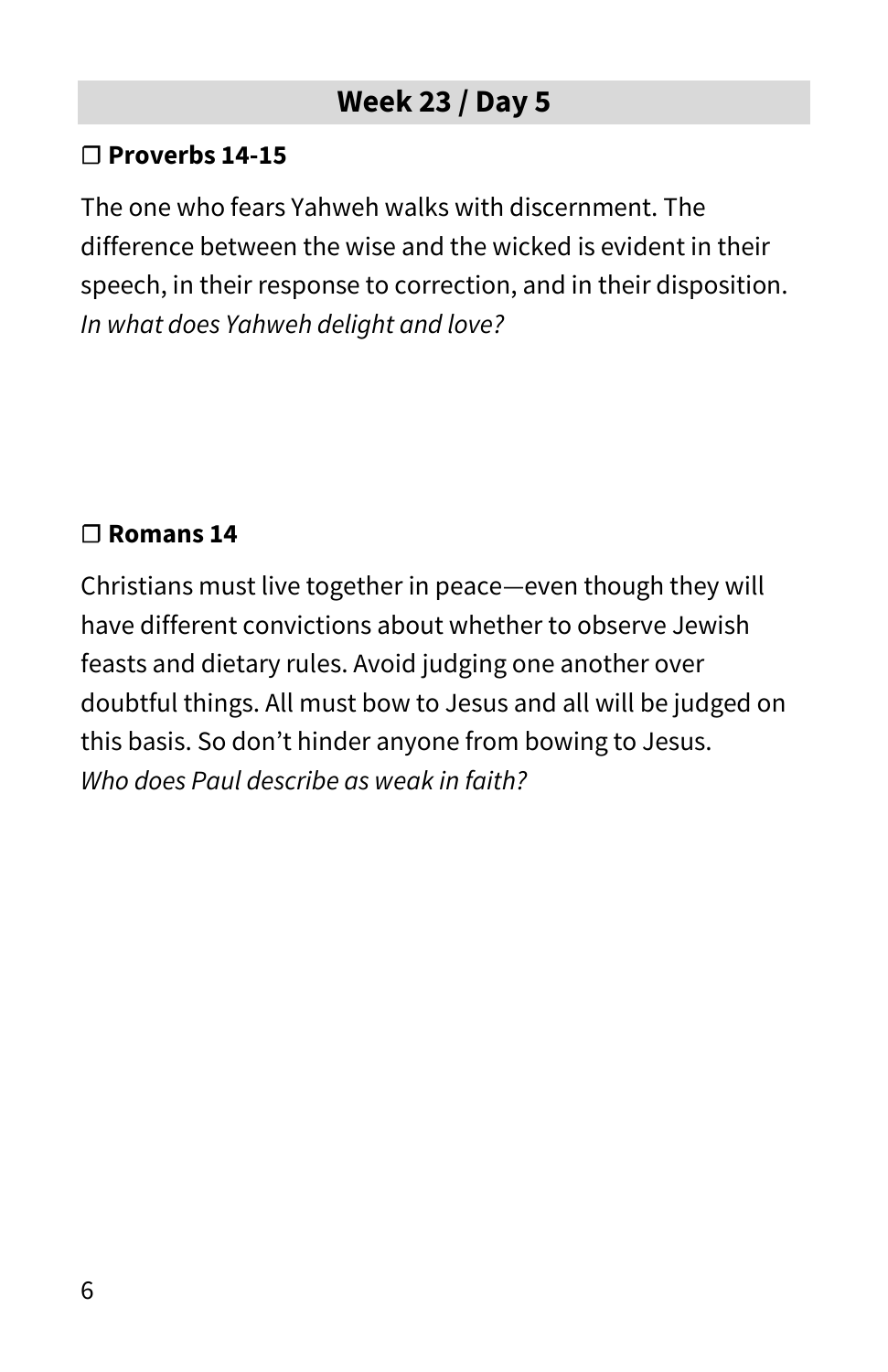#### **☐ Proverbs 14-15**

The one who fears Yahweh walks with discernment. The difference between the wise and the wicked is evident in their speech, in their response to correction, and in their disposition. *In what does Yahweh delight and love?*

#### **☐ Romans 14**

Christians must live together in peace—even though they will have different convictions about whether to observe Jewish feasts and dietary rules. Avoid judging one another over doubtful things. All must bow to Jesus and all will be judged on this basis. So don't hinder anyone from bowing to Jesus. *Who does Paul describe as weak in faith?*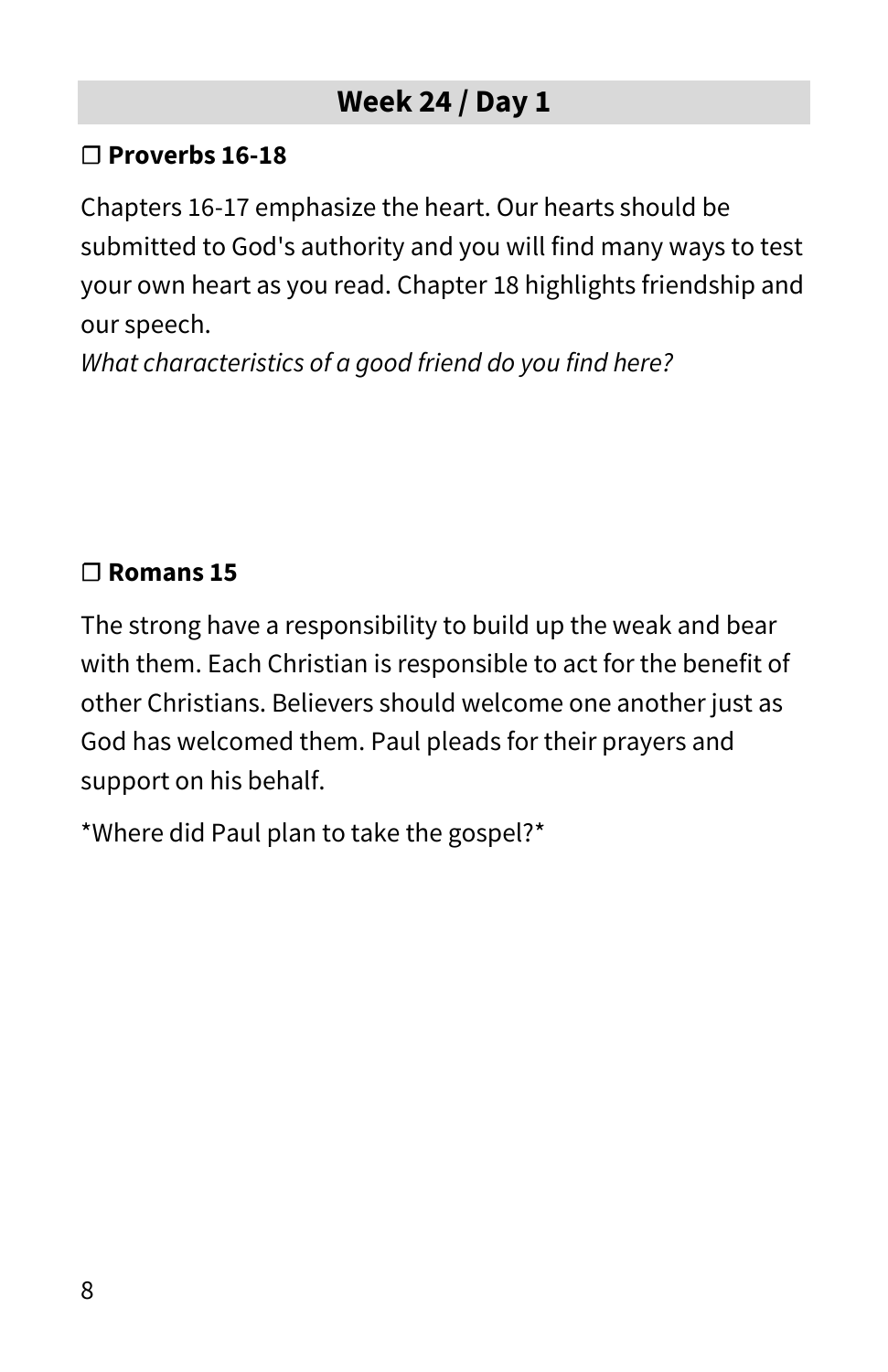#### **☐ Proverbs 16-18**

Chapters 16-17 emphasize the heart. Our hearts should be submitted to God's authority and you will find many ways to test your own heart as you read. Chapter 18 highlights friendship and our speech.

*What characteristics of a good friend do you find here?*

## **☐ Romans 15**

The strong have a responsibility to build up the weak and bear with them. Each Christian is responsible to act for the benefit of other Christians. Believers should welcome one another just as God has welcomed them. Paul pleads for their prayers and support on his behalf.

\*Where did Paul plan to take the gospel?\*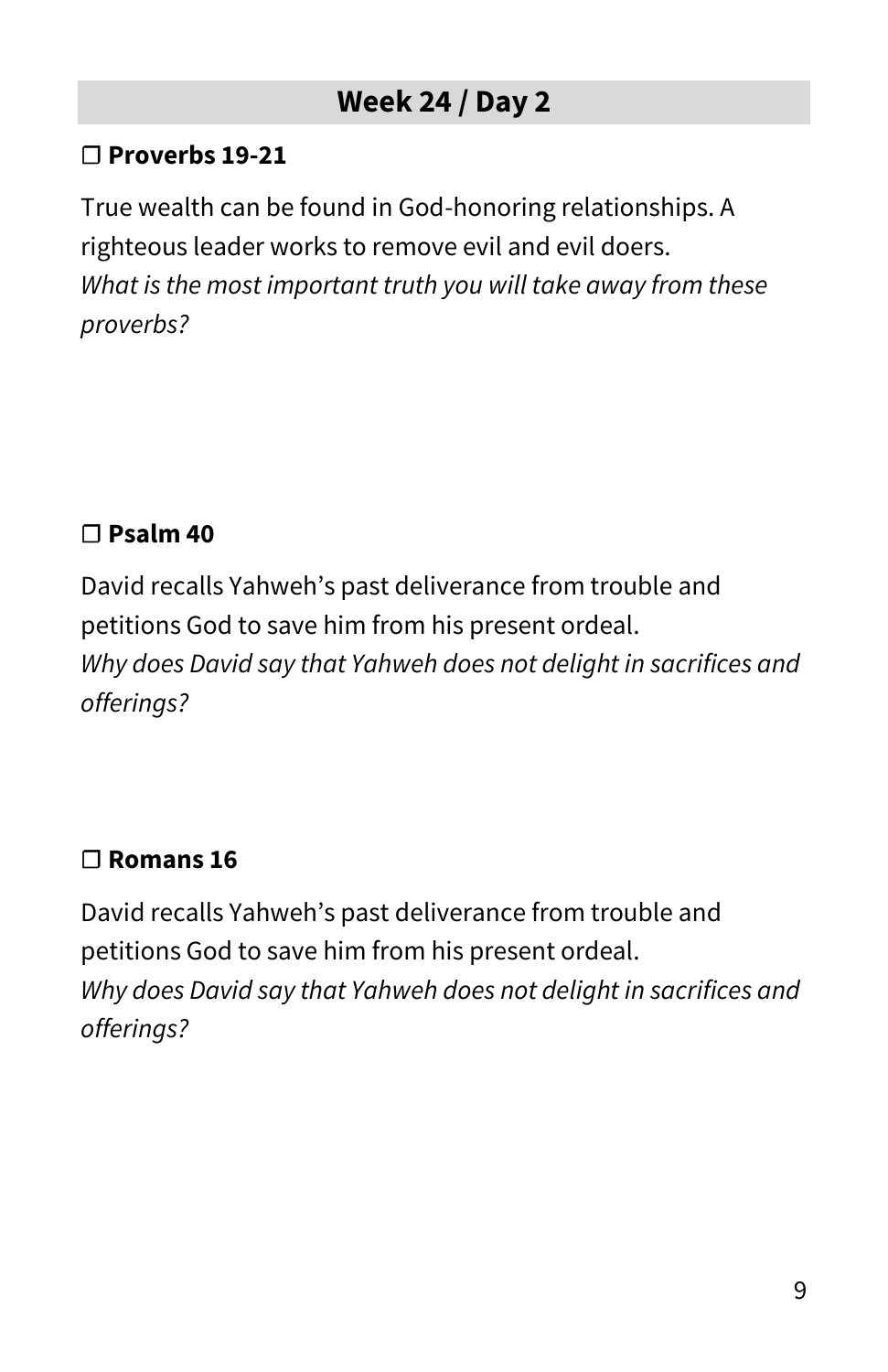#### **☐ Proverbs 19-21**

True wealth can be found in God-honoring relationships. A righteous leader works to remove evil and evil doers. *What is the most important truth you will take away from these proverbs?*

#### **☐ Psalm 40**

David recalls Yahweh's past deliverance from trouble and petitions God to save him from his present ordeal. *Why does David say that Yahweh does not delight in sacrifices and offerings?*

#### **☐ Romans 16**

David recalls Yahweh's past deliverance from trouble and petitions God to save him from his present ordeal. *Why does David say that Yahweh does not delight in sacrifices and offerings?*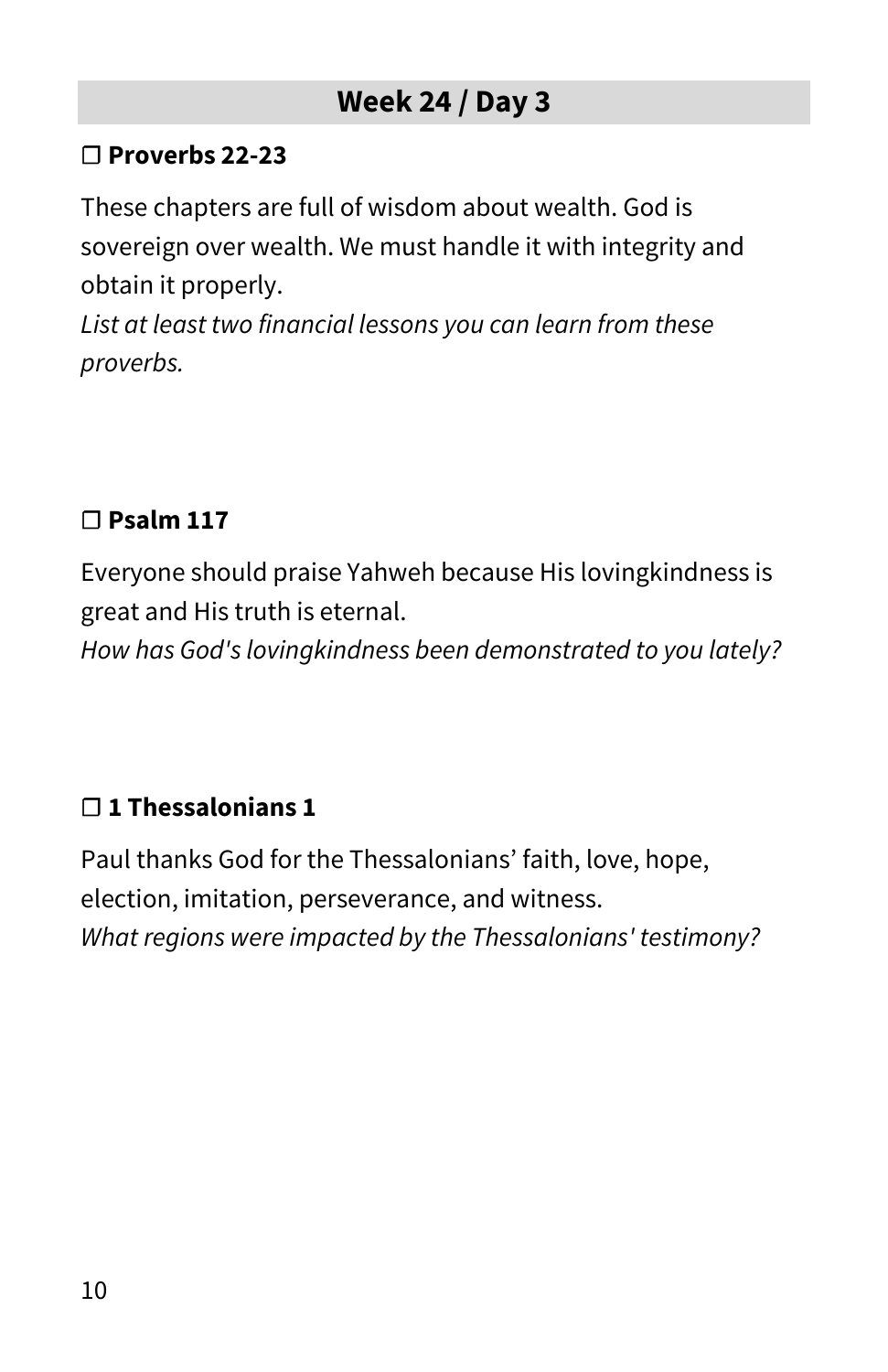#### **☐ Proverbs 22-23**

These chapters are full of wisdom about wealth. God is sovereign over wealth. We must handle it with integrity and obtain it properly.

*List at least two financial lessons you can learn from these proverbs.*

#### **☐ Psalm 117**

Everyone should praise Yahweh because His lovingkindness is great and His truth is eternal.

*How has God's lovingkindness been demonstrated to you lately?*

## **☐ 1 Thessalonians 1**

Paul thanks God for the Thessalonians' faith, love, hope, election, imitation, perseverance, and witness. *What regions were impacted by the Thessalonians' testimony?*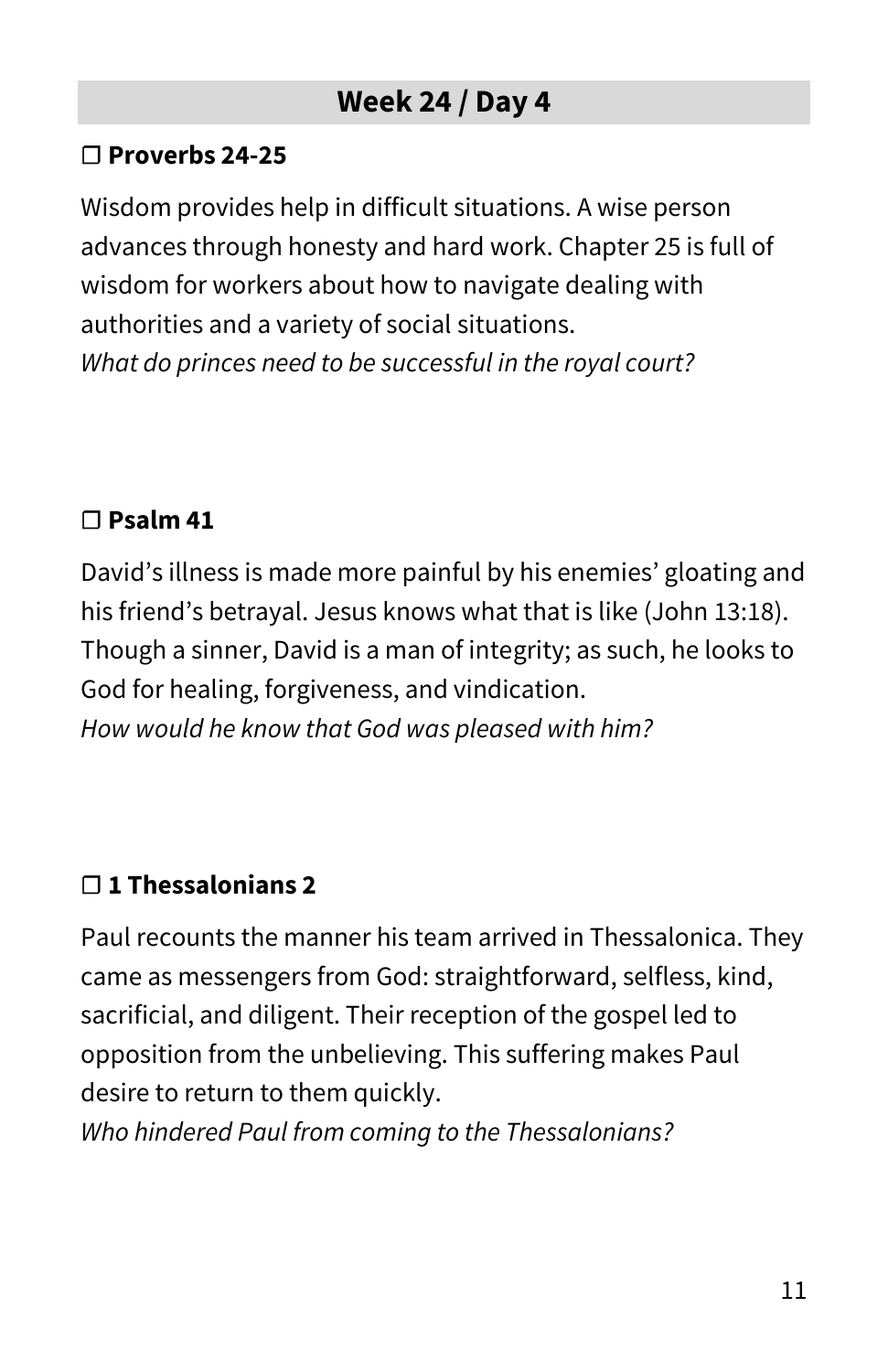#### **☐ Proverbs 24-25**

Wisdom provides help in difficult situations. A wise person advances through honesty and hard work. Chapter 25 is full of wisdom for workers about how to navigate dealing with authorities and a variety of social situations. *What do princes need to be successful in the royal court?*

#### **☐ Psalm 41**

David's illness is made more painful by his enemies' gloating and his friend's betrayal. Jesus knows what that is like (John 13:18). Though a sinner, David is a man of integrity; as such, he looks to God for healing, forgiveness, and vindication. *How would he know that God was pleased with him?*

## **☐ 1 Thessalonians 2**

Paul recounts the manner his team arrived in Thessalonica. They came as messengers from God: straightforward, selfless, kind, sacrificial, and diligent. Their reception of the gospel led to opposition from the unbelieving. This suffering makes Paul desire to return to them quickly.

*Who hindered Paul from coming to the Thessalonians?*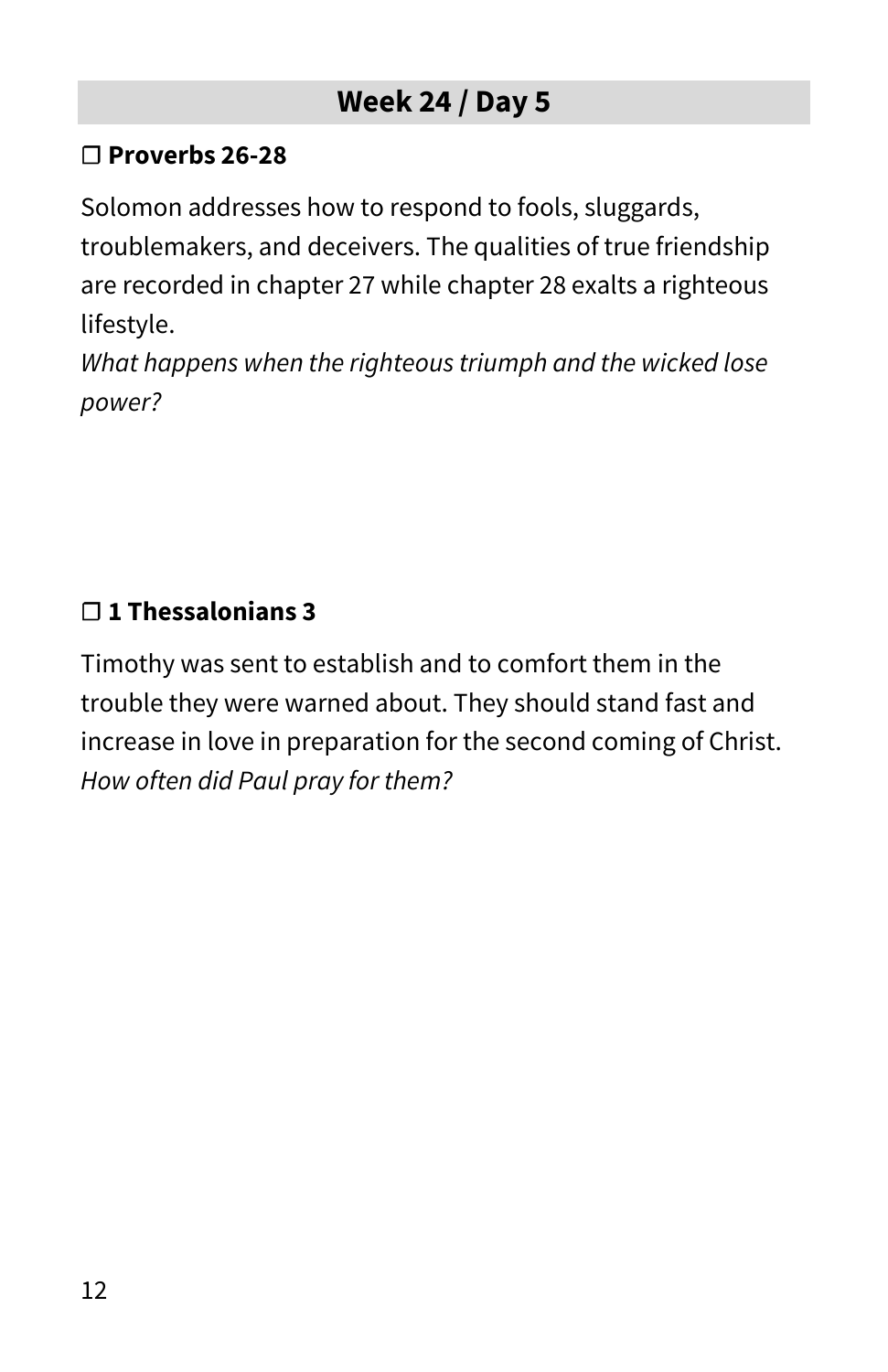#### **☐ Proverbs 26-28**

Solomon addresses how to respond to fools, sluggards,

troublemakers, and deceivers. The qualities of true friendship are recorded in chapter 27 while chapter 28 exalts a righteous lifestyle.

*What happens when the righteous triumph and the wicked lose power?*

#### **☐ 1 Thessalonians 3**

Timothy was sent to establish and to comfort them in the trouble they were warned about. They should stand fast and increase in love in preparation for the second coming of Christ. *How often did Paul pray for them?*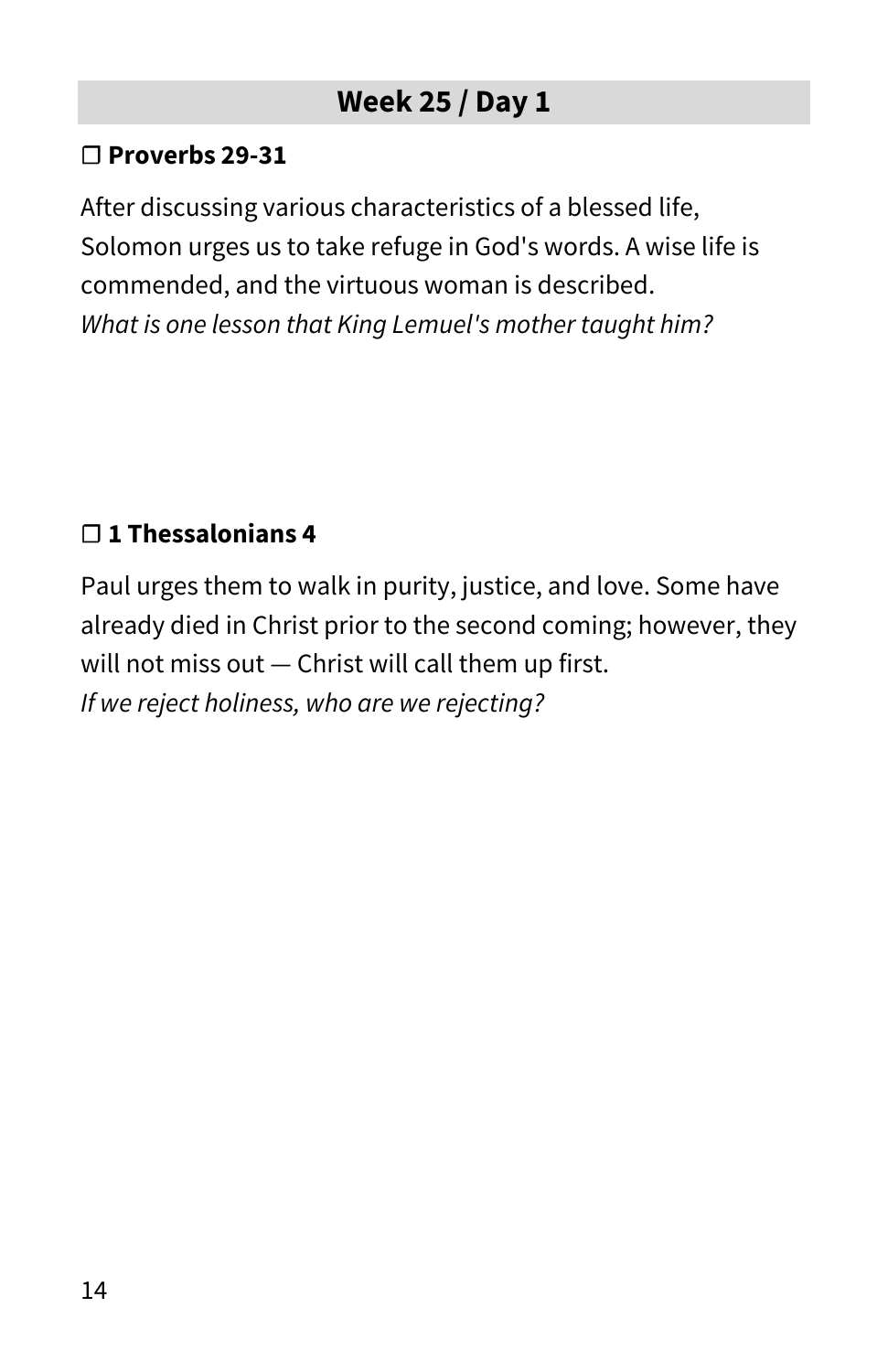#### **☐ Proverbs 29-31**

After discussing various characteristics of a blessed life, Solomon urges us to take refuge in God's words. A wise life is commended, and the virtuous woman is described. *What is one lesson that King Lemuel's mother taught him?*

#### **☐ 1 Thessalonians 4**

Paul urges them to walk in purity, justice, and love. Some have already died in Christ prior to the second coming; however, they will not miss out — Christ will call them up first. *If we reject holiness, who are we rejecting?*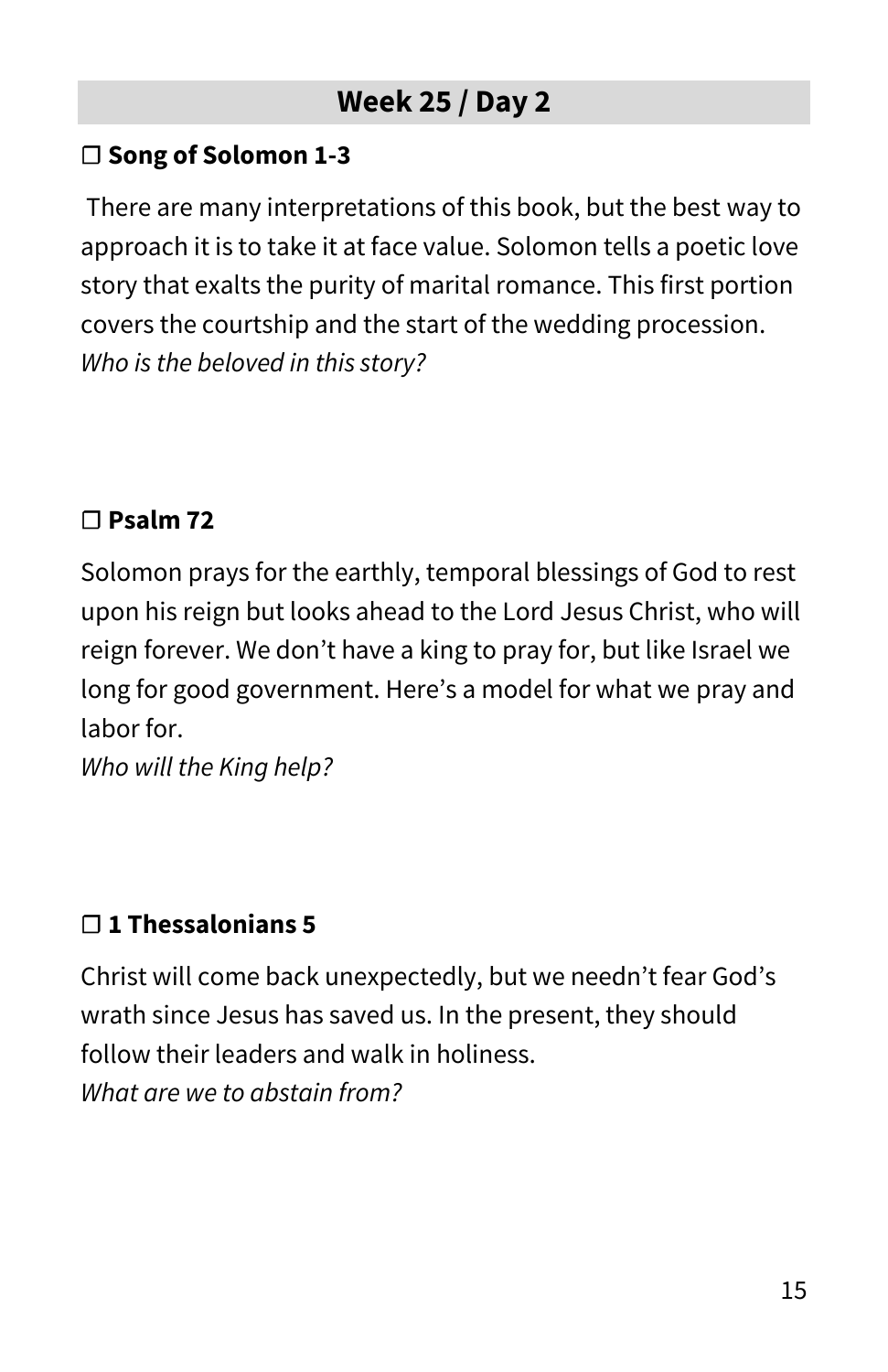#### **☐ Song of Solomon 1-3**

There are many interpretations of this book, but the best way to approach it is to take it at face value. Solomon tells a poetic love story that exalts the purity of marital romance. This first portion covers the courtship and the start of the wedding procession. *Who is the beloved in this story?*

#### **☐ Psalm 72**

Solomon prays for the earthly, temporal blessings of God to rest upon his reign but looks ahead to the Lord Jesus Christ, who will reign forever. We don't have a king to pray for, but like Israel we long for good government. Here's a model for what we pray and labor for.

*Who will the King help?*

## **☐ 1 Thessalonians 5**

Christ will come back unexpectedly, but we needn't fear God's wrath since Jesus has saved us. In the present, they should follow their leaders and walk in holiness. *What are we to abstain from?*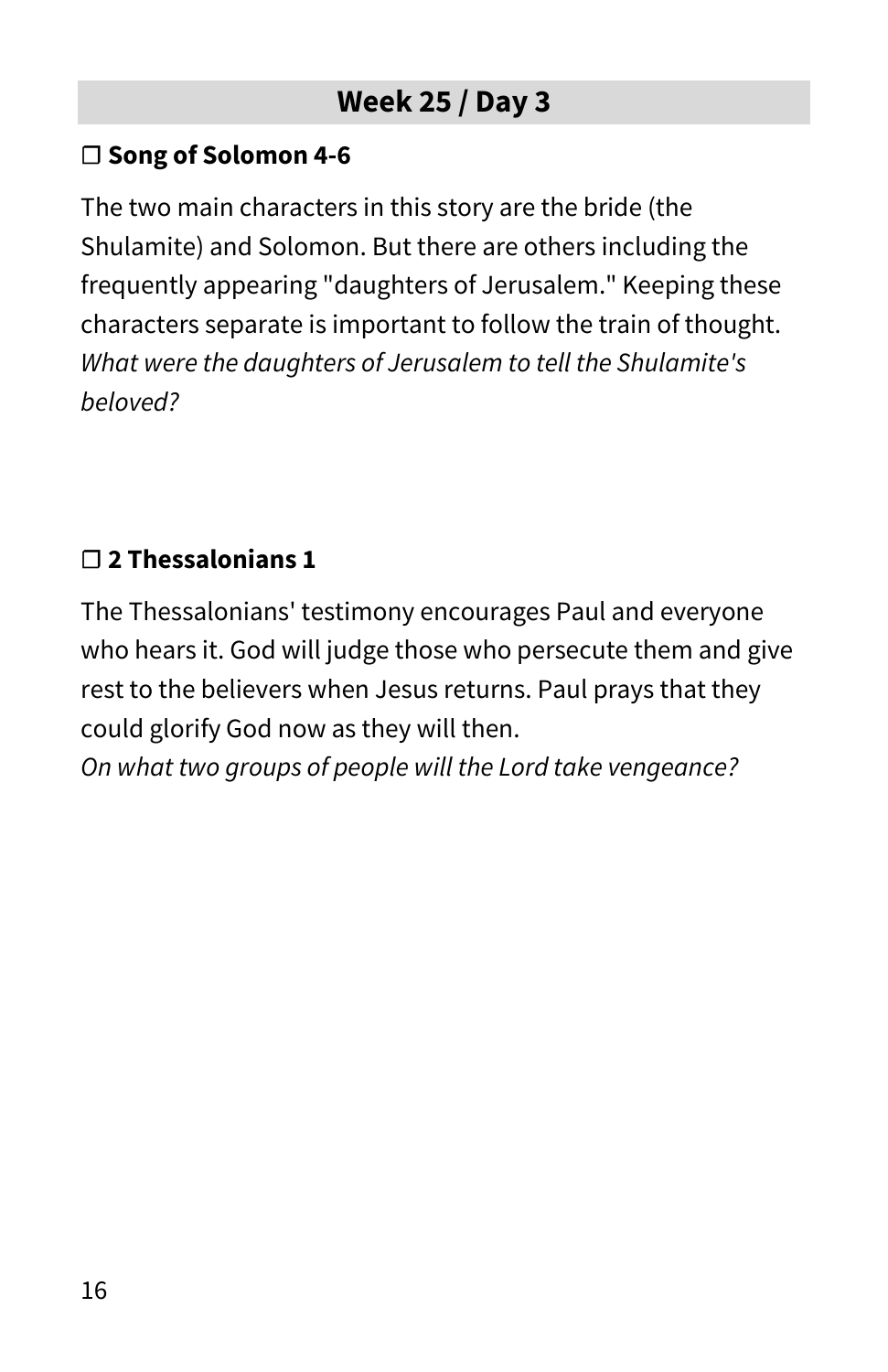#### **☐ Song of Solomon 4-6**

The two main characters in this story are the bride (the Shulamite) and Solomon. But there are others including the frequently appearing "daughters of Jerusalem." Keeping these characters separate is important to follow the train of thought. *What were the daughters of Jerusalem to tell the Shulamite's beloved?*

#### **☐ 2 Thessalonians 1**

The Thessalonians' testimony encourages Paul and everyone who hears it. God will judge those who persecute them and give rest to the believers when Jesus returns. Paul prays that they could glorify God now as they will then.

*On what two groups of people will the Lord take vengeance?*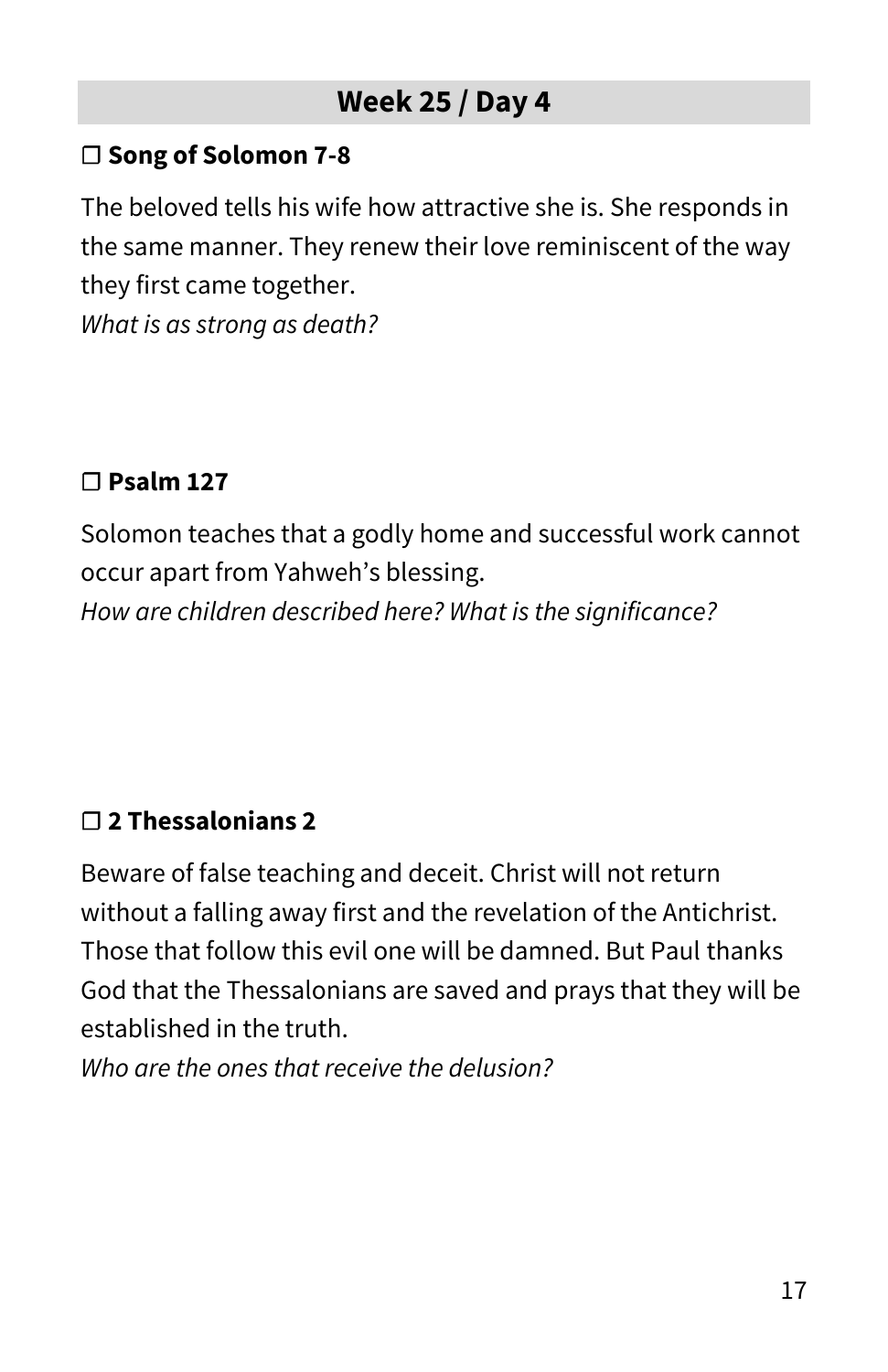#### **☐ Song of Solomon 7-8**

The beloved tells his wife how attractive she is. She responds in the same manner. They renew their love reminiscent of the way they first came together.

*What is as strong as death?*

#### **☐ Psalm 127**

Solomon teaches that a godly home and successful work cannot occur apart from Yahweh's blessing. *How are children described here? What is the significance?*

#### **☐ 2 Thessalonians 2**

Beware of false teaching and deceit. Christ will not return without a falling away first and the revelation of the Antichrist. Those that follow this evil one will be damned. But Paul thanks God that the Thessalonians are saved and prays that they will be established in the truth.

*Who are the ones that receive the delusion?*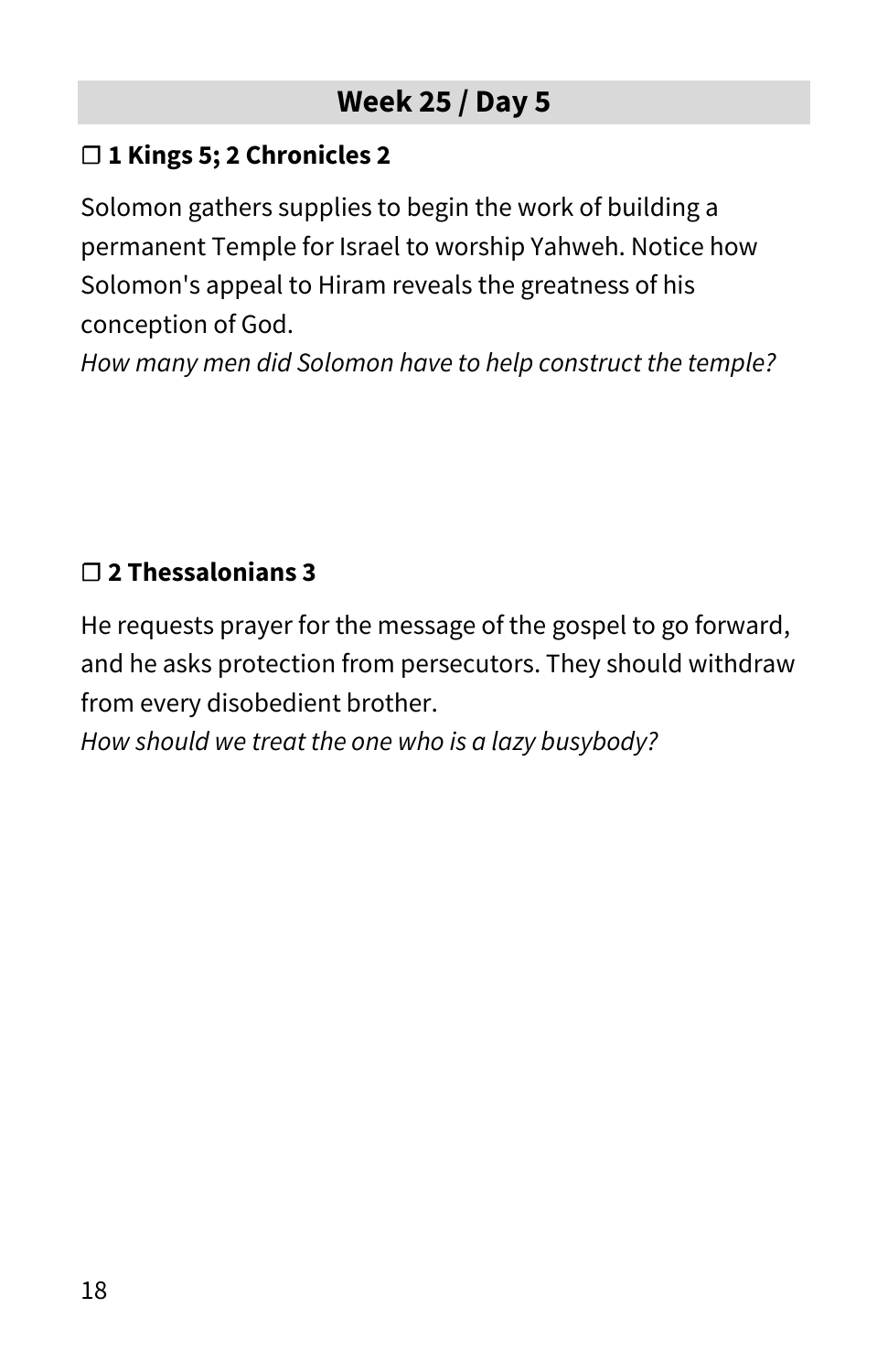#### **☐ 1 Kings 5; 2 Chronicles 2**

Solomon gathers supplies to begin the work of building a permanent Temple for Israel to worship Yahweh. Notice how Solomon's appeal to Hiram reveals the greatness of his conception of God.

*How many men did Solomon have to help construct the temple?*

## **☐ 2 Thessalonians 3**

He requests prayer for the message of the gospel to go forward, and he asks protection from persecutors. They should withdraw from every disobedient brother.

*How should we treat the one who is a lazy busybody?*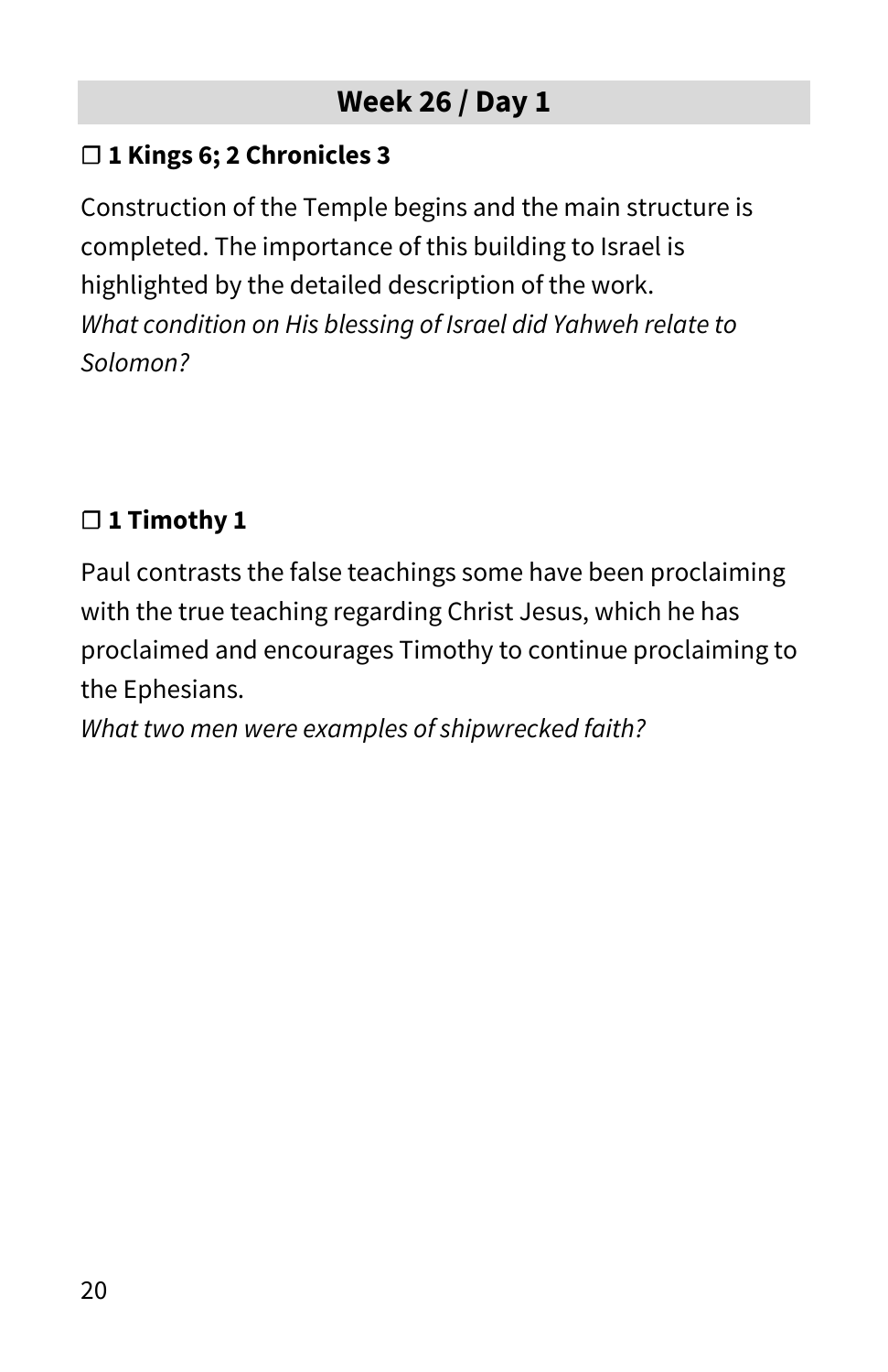#### **☐ 1 Kings 6; 2 Chronicles 3**

Construction of the Temple begins and the main structure is completed. The importance of this building to Israel is highlighted by the detailed description of the work. *What condition on His blessing of Israel did Yahweh relate to Solomon?*

## **☐ 1 Timothy 1**

Paul contrasts the false teachings some have been proclaiming with the true teaching regarding Christ Jesus, which he has proclaimed and encourages Timothy to continue proclaiming to the Ephesians.

*What two men were examples of shipwrecked faith?*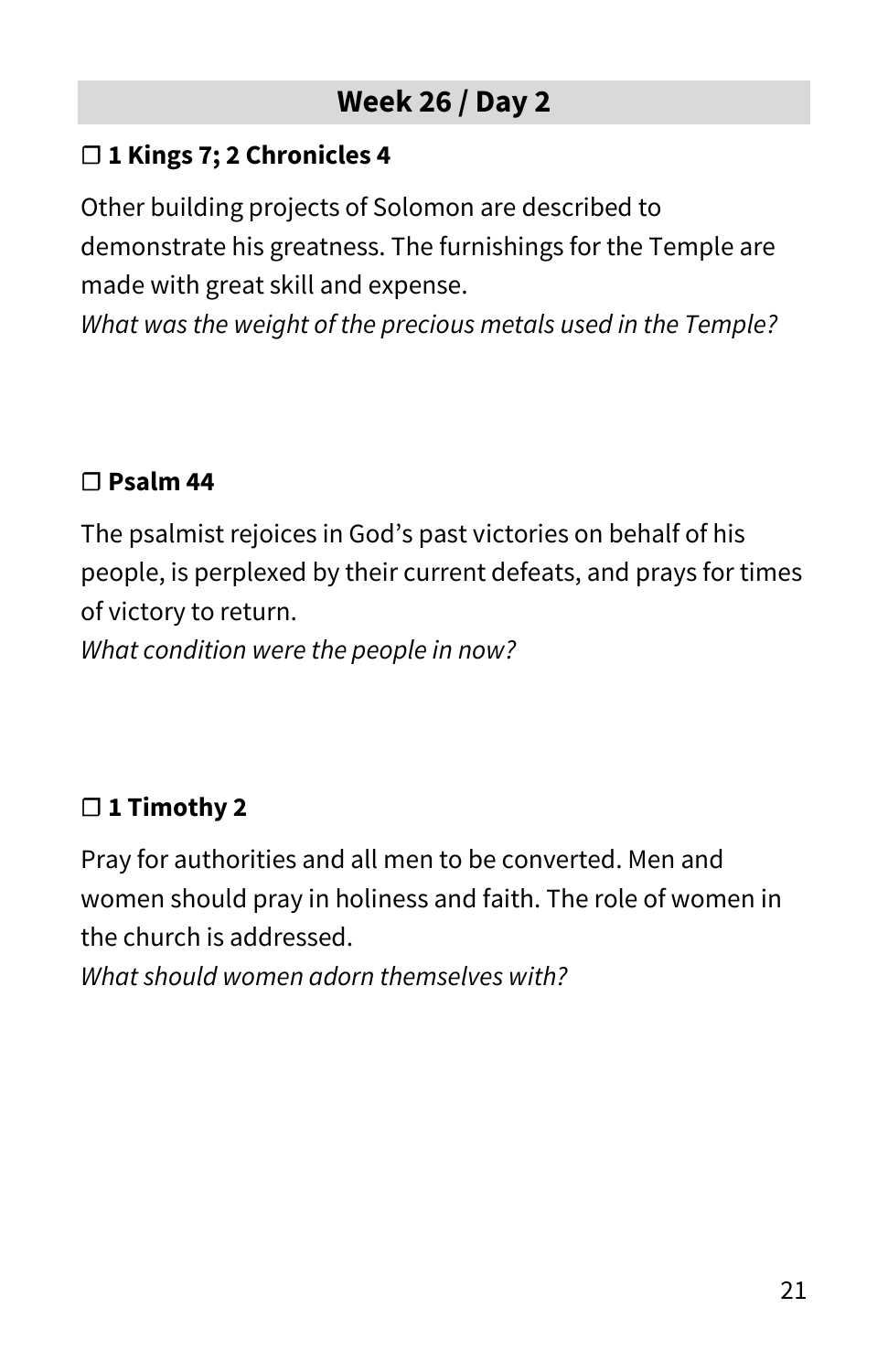#### **☐ 1 Kings 7; 2 Chronicles 4**

Other building projects of Solomon are described to demonstrate his greatness. The furnishings for the Temple are made with great skill and expense.

*What was the weight of the precious metals used in the Temple?*

#### **☐ Psalm 44**

The psalmist rejoices in God's past victories on behalf of his people, is perplexed by their current defeats, and prays for times of victory to return.

*What condition were the people in now?*

## **☐ 1 Timothy 2**

Pray for authorities and all men to be converted. Men and women should pray in holiness and faith. The role of women in the church is addressed.

*What should women adorn themselves with?*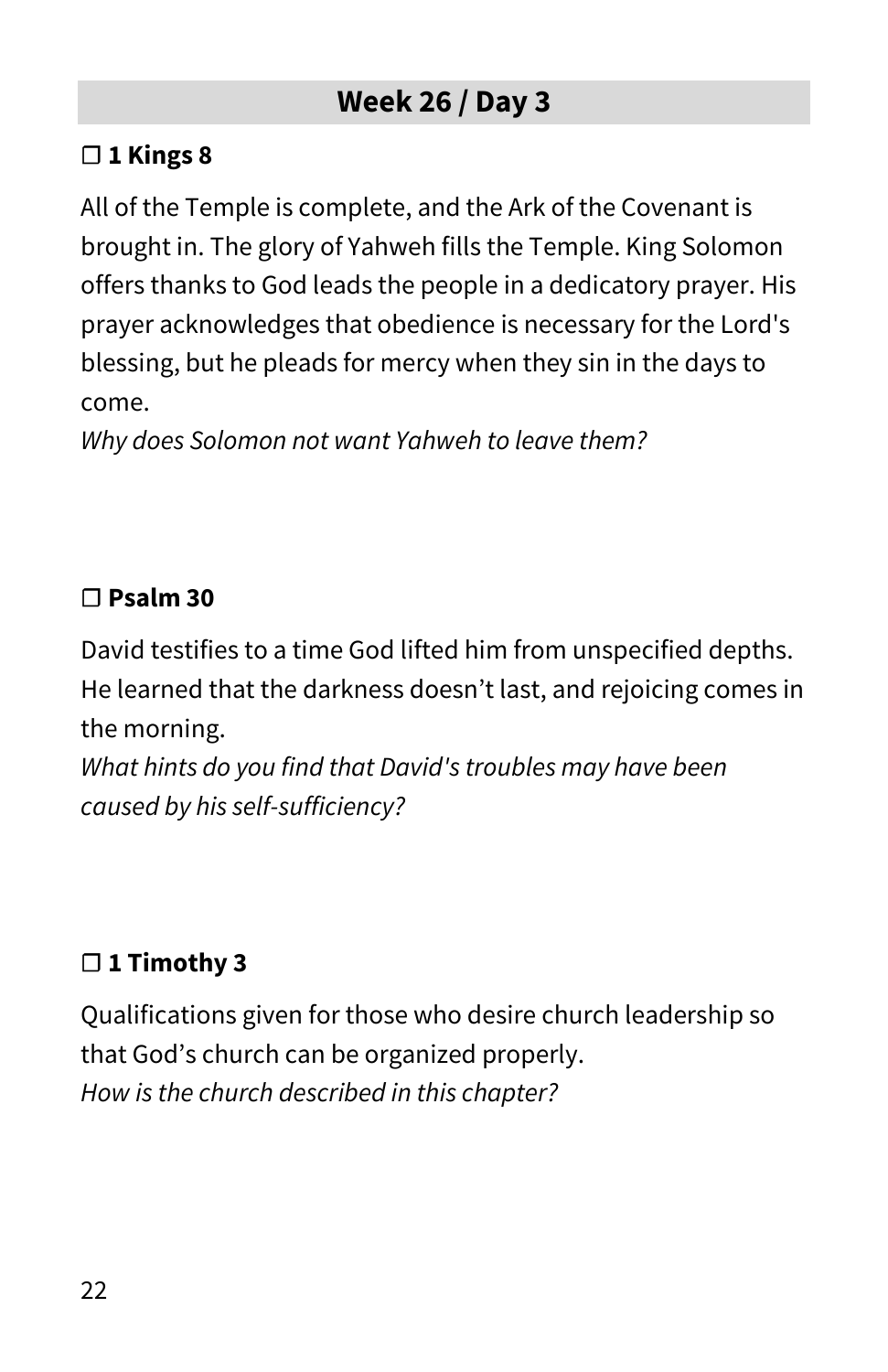#### **☐ 1 Kings 8**

All of the Temple is complete, and the Ark of the Covenant is brought in. The glory of Yahweh fills the Temple. King Solomon offers thanks to God leads the people in a dedicatory prayer. His prayer acknowledges that obedience is necessary for the Lord's blessing, but he pleads for mercy when they sin in the days to come.

*Why does Solomon not want Yahweh to leave them?*

#### **☐ Psalm 30**

David testifies to a time God lifted him from unspecified depths. He learned that the darkness doesn't last, and rejoicing comes in the morning.

*What hints do you find that David's troubles may have been caused by his self-sufficiency?*

## **☐ 1 Timothy 3**

Qualifications given for those who desire church leadership so that God's church can be organized properly. *How is the church described in this chapter?*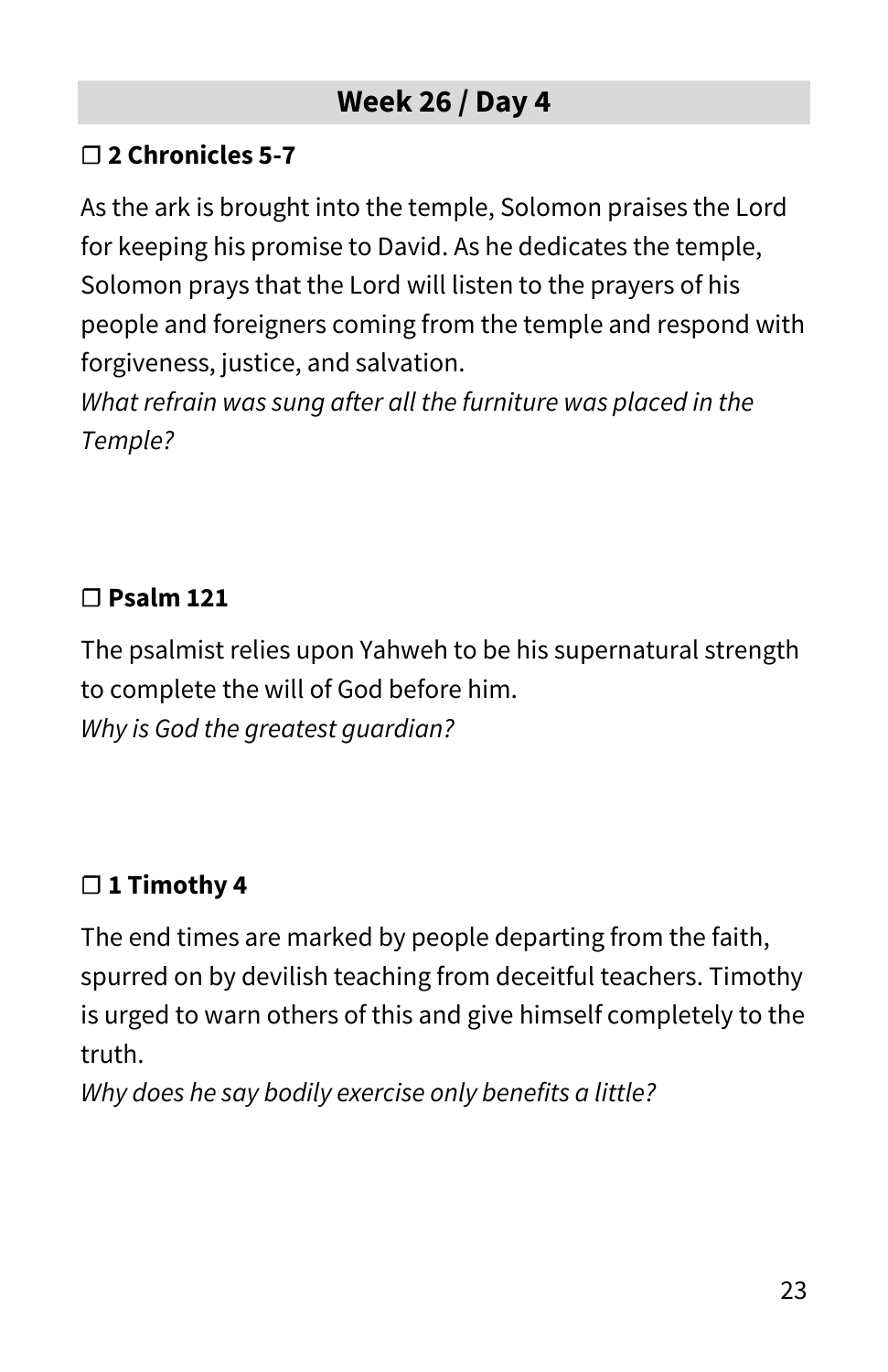#### **☐ 2 Chronicles 5-7**

As the ark is brought into the temple, Solomon praises the Lord for keeping his promise to David. As he dedicates the temple, Solomon prays that the Lord will listen to the prayers of his people and foreigners coming from the temple and respond with forgiveness, justice, and salvation.

*What refrain was sung after all the furniture was placed in the Temple?*

#### **☐ Psalm 121**

The psalmist relies upon Yahweh to be his supernatural strength to complete the will of God before him. *Why is God the greatest guardian?*

## **☐ 1 Timothy 4**

The end times are marked by people departing from the faith, spurred on by devilish teaching from deceitful teachers. Timothy is urged to warn others of this and give himself completely to the truth.

*Why does he say bodily exercise only benefits a little?*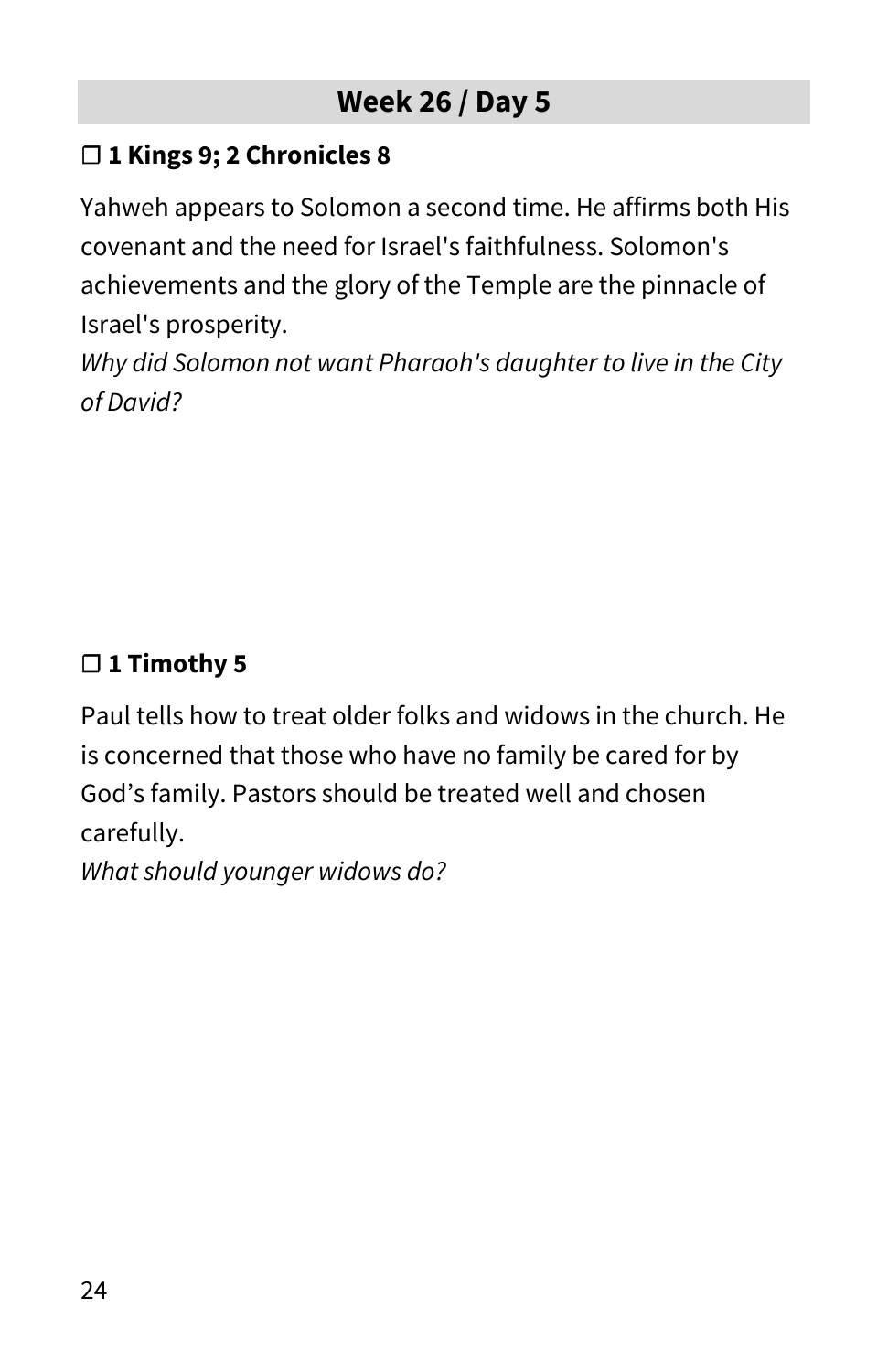#### **☐ 1 Kings 9; 2 Chronicles 8**

Yahweh appears to Solomon a second time. He affirms both His covenant and the need for Israel's faithfulness. Solomon's achievements and the glory of the Temple are the pinnacle of Israel's prosperity.

*Why did Solomon not want Pharaoh's daughter to live in the City of David?*

## **☐ 1 Timothy 5**

Paul tells how to treat older folks and widows in the church. He is concerned that those who have no family be cared for by God's family. Pastors should be treated well and chosen carefully.

*What should younger widows do?*